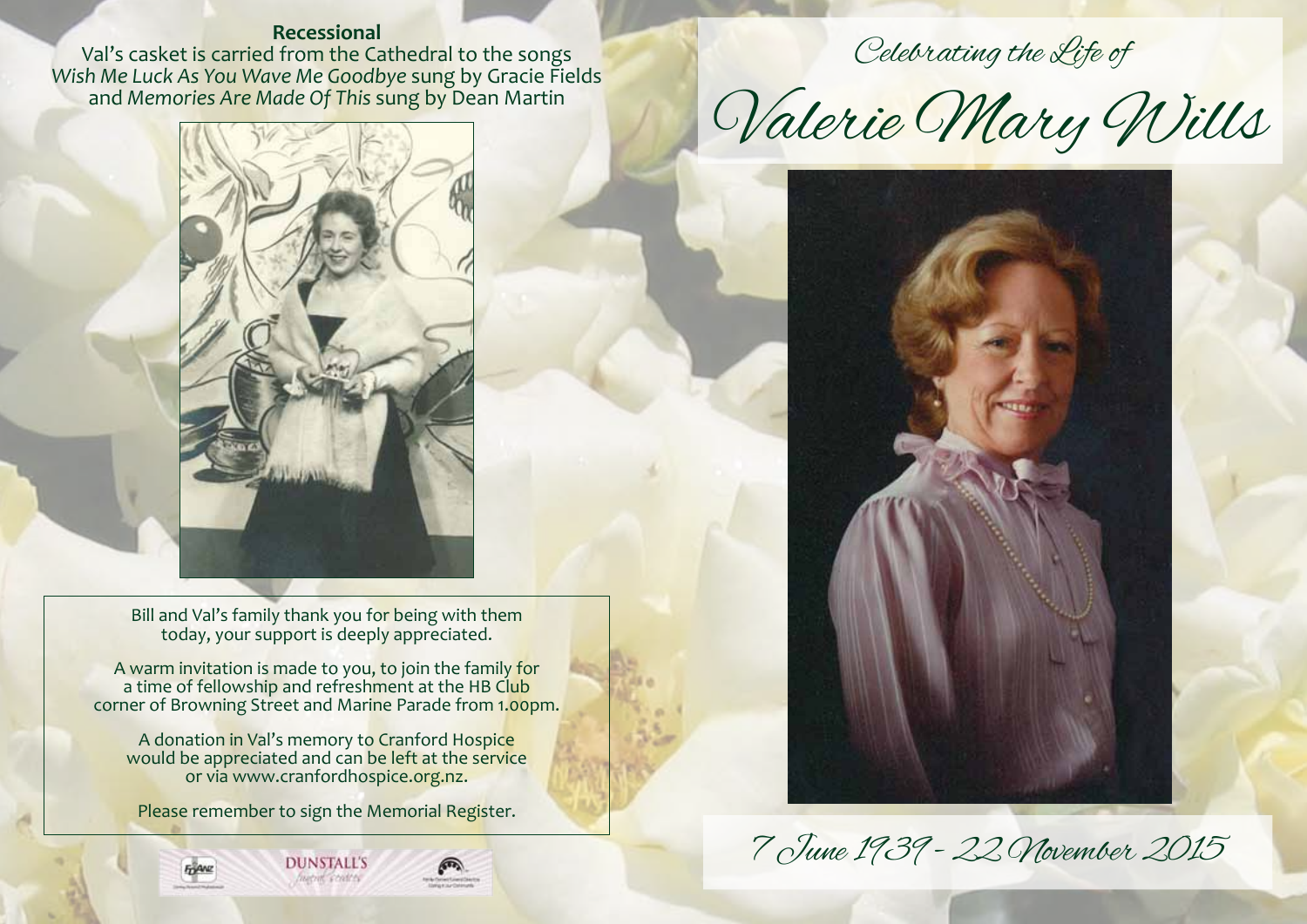# **Recessional**

Val's casket is carried from the Cathedral to the songs *Wish Me Luck As You Wave Me Goodbye* sung by Gracie Fields and *Memories Are Made Of This* sung by Dean Martin



Bill and Val's family thank you for being with them today, your support is deeply appreciated.

A warm invitation is made to you, to join the family for a time of fellowship and refreshment at the HB Club corner of Browning Street and Marine Parade from 1.00pm.

A donation in Val's memory to Cranford Hospice would be appreciated and can be left at the service or via www.cranfordhospice.org.nz.

Please remember to sign the Memorial Register.





Celebrating the Life of

Valerie Mary Wills



7 June 1939 - 22 November 2015